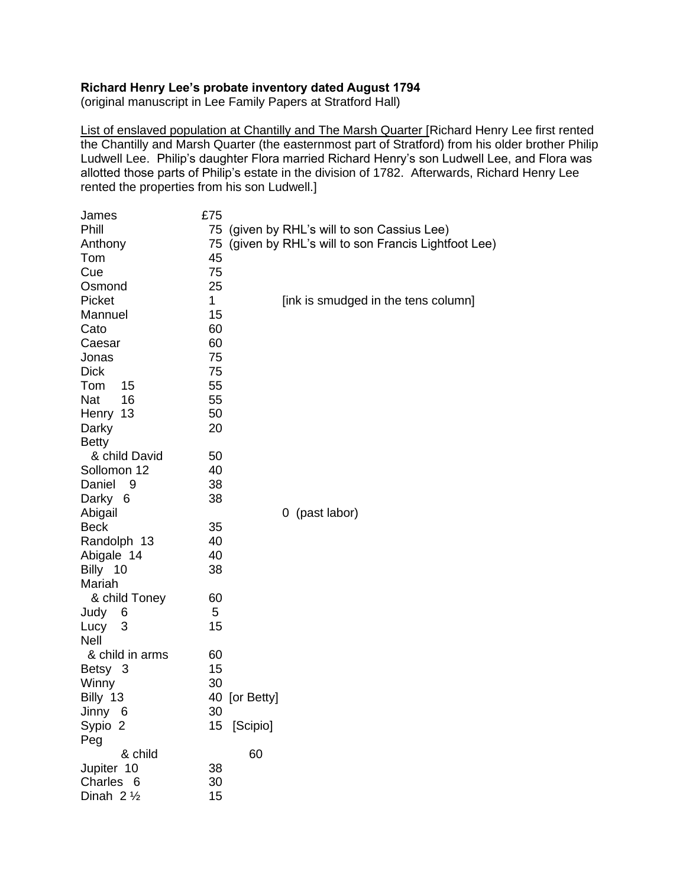## **Richard Henry Lee's probate inventory dated August 1794**

(original manuscript in Lee Family Papers at Stratford Hall)

List of enslaved population at Chantilly and The Marsh Quarter [Richard Henry Lee first rented the Chantilly and Marsh Quarter (the easternmost part of Stratford) from his older brother Philip Ludwell Lee. Philip's daughter Flora married Richard Henry's son Ludwell Lee, and Flora was allotted those parts of Philip's estate in the division of 1782. Afterwards, Richard Henry Lee rented the properties from his son Ludwell.]

| James                | £75         |                                                    |
|----------------------|-------------|----------------------------------------------------|
| Phill                |             | 75 (given by RHL's will to son Cassius Lee)        |
| Anthony              | 75          | (given by RHL's will to son Francis Lightfoot Lee) |
| Tom                  | 45          |                                                    |
| Cue                  | 75          |                                                    |
| Osmond               | 25          |                                                    |
| Picket               | $\mathbf 1$ | [ink is smudged in the tens column]                |
| Mannuel              | 15          |                                                    |
| Cato                 | 60          |                                                    |
| Caesar               | 60          |                                                    |
| Jonas                | 75          |                                                    |
| <b>Dick</b>          | 75          |                                                    |
| Tom<br>15            | 55          |                                                    |
| Nat<br>16            | 55          |                                                    |
| Henry 13             | 50          |                                                    |
| Darky                | 20          |                                                    |
| <b>Betty</b>         |             |                                                    |
| & child David        | 50          |                                                    |
| Sollomon 12          | 40          |                                                    |
| Daniel<br>- 9        | 38          |                                                    |
| Darky 6              | 38          |                                                    |
| Abigail              |             | 0 (past labor)                                     |
| <b>Beck</b>          | 35          |                                                    |
| Randolph 13          | 40          |                                                    |
| Abigale 14           | 40          |                                                    |
| Billy 10             | 38          |                                                    |
| Mariah               |             |                                                    |
| & child Toney        | 60          |                                                    |
| Judy<br>6            | 5           |                                                    |
| Lucy 3               | 15          |                                                    |
| <b>Nell</b>          |             |                                                    |
| & child in arms      | 60          |                                                    |
| Betsy 3              | 15          |                                                    |
| Winny                | 30          |                                                    |
| Billy 13             |             | 40 [or Betty]                                      |
| Jinny 6              | 30          |                                                    |
| Sypio 2              |             | 15 [Scipio]                                        |
| Peg                  |             |                                                    |
| & child              |             | 60                                                 |
| Jupiter 10           | 38          |                                                    |
| Charles 6            | 30          |                                                    |
| Dinah $2\frac{1}{2}$ | 15          |                                                    |